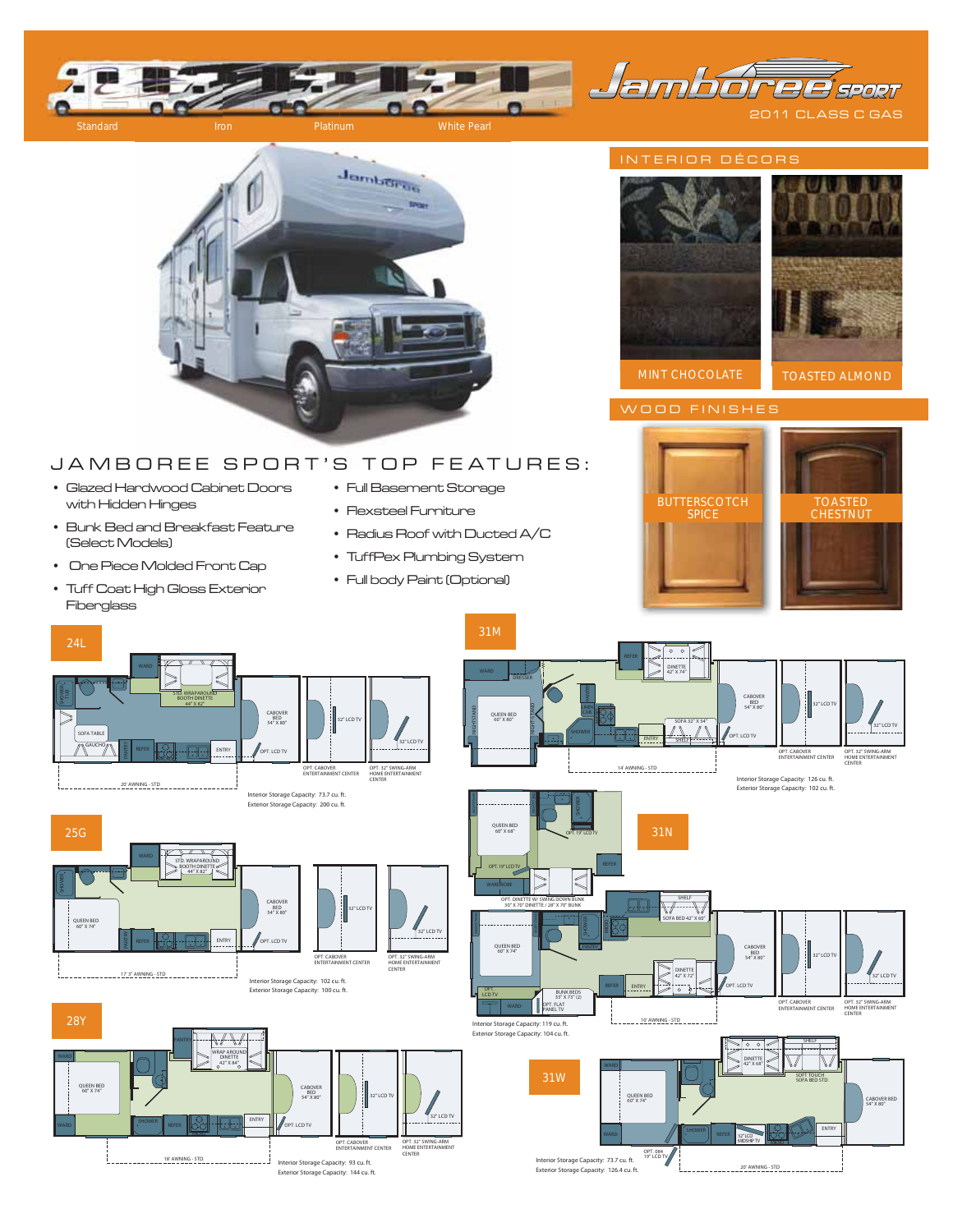

2011 CLASS C GAS **QE** SPORT



# JAMBOREE SPORT'S TOP FEATURES:

- Glazed Hardwood Cabinet Doors with Hidden Hinges
- Bunk Bed and Breakfast Feature (Select Models)
- One Piece Molded Front Cap
- Tuff Coat High Gloss Exterior Fiberglass
- Full Basement Storage
- Flexsteel Furniture
- Radius Roof with Ducted A/C
- TuffPex Plumbing System
- Full body Paint (Optional)



## INTERIOR DÉCORS